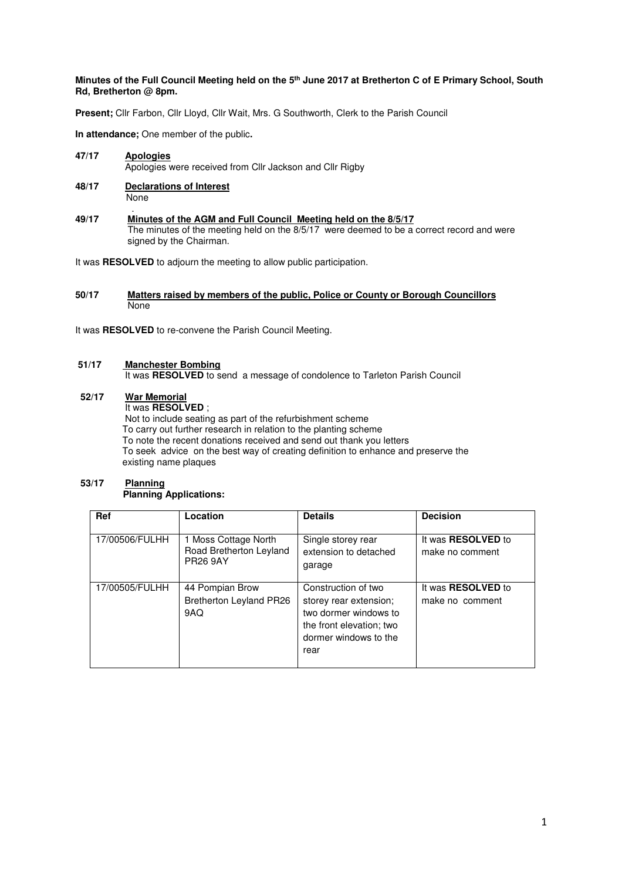### **Minutes of the Full Council Meeting held on the 5th June 2017 at Bretherton C of E Primary School, South Rd, Bretherton @ 8pm.**

**Present;** Cllr Farbon, Cllr Lloyd, Cllr Wait, Mrs. G Southworth, Clerk to the Parish Council

**In attendance;** One member of the public**.** 

**47/17 Apologies** Apologies were received from Cllr Jackson and Cllr Rigby

- **48/17 Declarations of Interest None**
- . **49/17 Minutes of the AGM and Full Council Meeting held on the 8/5/17**  The minutes of the meeting held on the 8/5/17 were deemed to be a correct record and were signed by the Chairman.

It was **RESOLVED** to adjourn the meeting to allow public participation.

### **50/17 Matters raised by members of the public, Police or County or Borough Councillors None**

It was **RESOLVED** to re-convene the Parish Council Meeting.

### **51/17 Manchester Bombing**

It was **RESOLVED** to send a message of condolence to Tarleton Parish Council

## **52/17 War Memorial**

It was **RESOLVED** ;

 Not to include seating as part of the refurbishment scheme To carry out further research in relation to the planting scheme To note the recent donations received and send out thank you letters To seek advice on the best way of creating definition to enhance and preserve the existing name plaques

### **53/17 Planning Planning Applications:**

| <b>Ref</b>     | Location                                                           | <b>Details</b>                                                                                                                      | <b>Decision</b>                              |
|----------------|--------------------------------------------------------------------|-------------------------------------------------------------------------------------------------------------------------------------|----------------------------------------------|
| 17/00506/FULHH | 1 Moss Cottage North<br>Road Bretherton Leyland<br><b>PR26 9AY</b> | Single storey rear<br>extension to detached<br>garage                                                                               | It was <b>RESOLVED</b> to<br>make no comment |
| 17/00505/FULHH | 44 Pompian Brow<br><b>Bretherton Leyland PR26</b><br>9AQ           | Construction of two<br>storey rear extension;<br>two dormer windows to<br>the front elevation; two<br>dormer windows to the<br>rear | It was <b>RESOLVED</b> to<br>make no comment |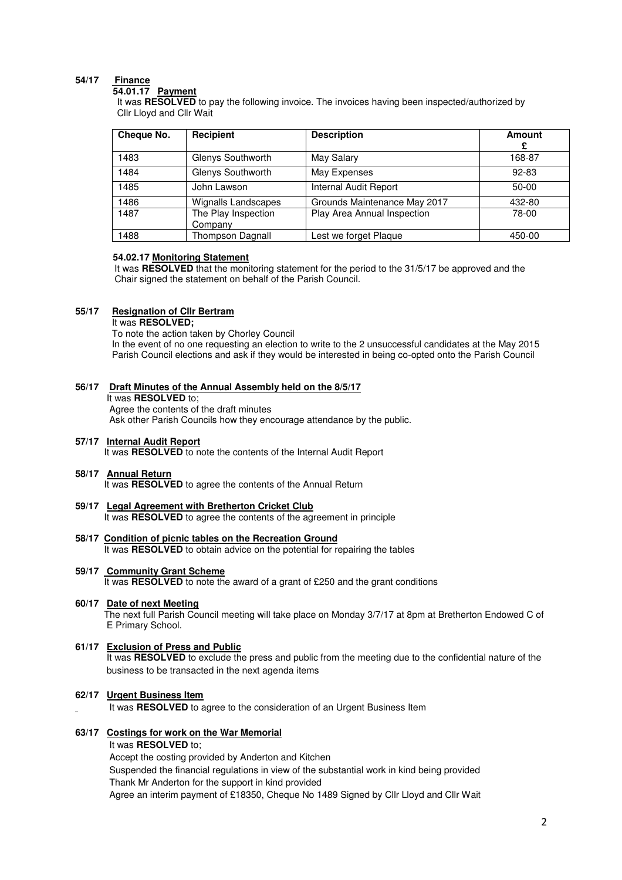# **54/17 Finance**

#### **54.01.17 Payment**

 It was **RESOLVED** to pay the following invoice. The invoices having been inspected/authorized by Cllr Lloyd and Cllr Wait

| Cheque No. | Recipient                      | <b>Description</b>           | <b>Amount</b><br>£ |
|------------|--------------------------------|------------------------------|--------------------|
| 1483       | Glenys Southworth              | May Salary                   | 168-87             |
| 1484       | Glenys Southworth              | May Expenses                 | 92-83              |
| 1485       | John Lawson                    | Internal Audit Report        | 50-00              |
| 1486       | <b>Wignalls Landscapes</b>     | Grounds Maintenance May 2017 | 432-80             |
| 1487       | The Play Inspection<br>Company | Play Area Annual Inspection  | 78-00              |
| 1488       | Thompson Dagnall               | Lest we forget Plaque        | 450-00             |

#### **54.02.17 Monitoring Statement**

 It was **RESOLVED** that the monitoring statement for the period to the 31/5/17 be approved and the Chair signed the statement on behalf of the Parish Council.

## **55/17 Resignation of Cllr Bertram**

It was **RESOLVED;** 

 To note the action taken by Chorley Council In the event of no one requesting an election to write to the 2 unsuccessful candidates at the May 2015 Parish Council elections and ask if they would be interested in being co-opted onto the Parish Council

### **56/17 Draft Minutes of the Annual Assembly held on the 8/5/17**

It was **RESOLVED** to;

 Agree the contents of the draft minutes Ask other Parish Councils how they encourage attendance by the public.

# **57/17 Internal Audit Report**

It was **RESOLVED** to note the contents of the Internal Audit Report

### **58/17 Annual Return**

It was **RESOLVED** to agree the contents of the Annual Return

### **59/17 Legal Agreement with Bretherton Cricket Club**

It was **RESOLVED** to agree the contents of the agreement in principle

# **58/17 Condition of picnic tables on the Recreation Ground**

It was **RESOLVED** to obtain advice on the potential for repairing the tables

### **59/17 Community Grant Scheme**

It was **RESOLVED** to note the award of a grant of £250 and the grant conditions

### **60/17 Date of next Meeting**

 The next full Parish Council meeting will take place on Monday 3/7/17 at 8pm at Bretherton Endowed C of E Primary School.

### **61/17 Exclusion of Press and Public**

 It was **RESOLVED** to exclude the press and public from the meeting due to the confidential nature of the business to be transacted in the next agenda items

### **62/17 Urgent Business Item**

It was **RESOLVED** to agree to the consideration of an Urgent Business Item

### **63/17 Costings for work on the War Memorial**

It was **RESOLVED** to;

Accept the costing provided by Anderton and Kitchen Suspended the financial regulations in view of the substantial work in kind being provided Thank Mr Anderton for the support in kind provided Agree an interim payment of £18350, Cheque No 1489 Signed by Cllr Lloyd and Cllr Wait